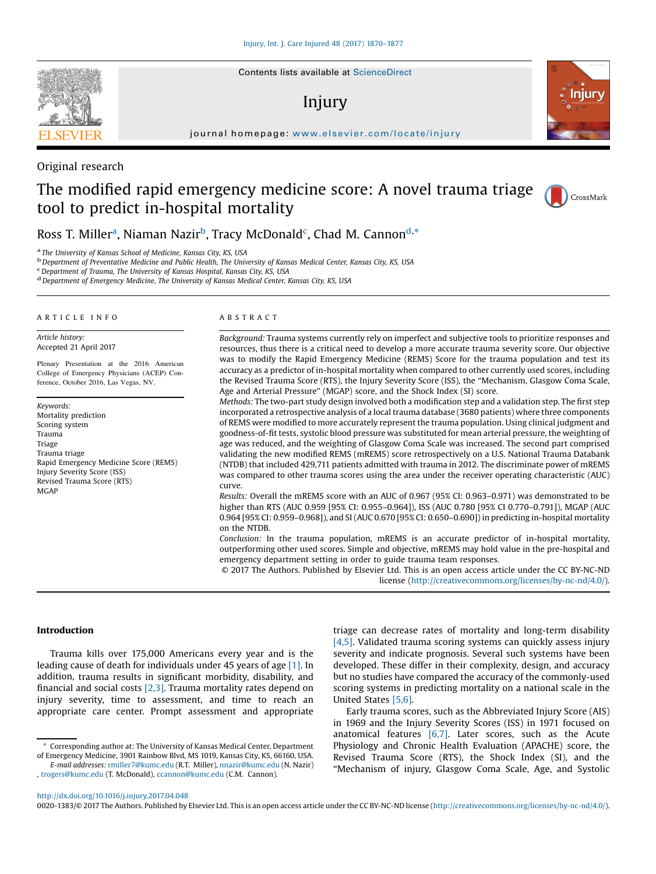# Injury

journal homepage: <www.elsevier.com/locate/injury>/ $\mathcal{N}$ 



Original research

# The modified rapid emergency medicine score: A novel trauma triage tool to predict in-hospital mortality



## Ross T. Miller<sup>a</sup>, Niaman Nazir<sup>b</sup>, Tracy McDonald<sup>c</sup>, Chad M. Cannon<sup>d,</sup>\*

<sup>a</sup> The University of Kansas School of Medicine, Kansas City, KS, USA<br><sup>b</sup> Department of Preventative Medicine and Public Health, The University of Kansas Medical Center, Kansas City, KS, USA<br><sup>c</sup> Department of Trauma, The U

<sup>d</sup> Department of Emergency Medicine, The University of Kansas Medical Center, Kansas City, KS, USA

#### A R T I C L E I N F O

Article history: Accepted 21 April 2017

Plenary Presentation at the 2016 American<br>College of Emergency Physicians (ACEP) Con-Coronae October 2016, Lee Vegee, NV ference, October 2016, Las Vegas, NV.

Keywords: Mortality prediction Scoring system Trauma Triage Trauma triage Rapid Emergency Medicine Score (REMS) Injury Severity Score (ISS) Revised Trauma Score (RTS) **MGAP** 

#### A B S T R A C T

Background: Trauma systems currently rely on imperfect and subjective tools to prioritize responses and resources, thus there is a critical need to develop a more accurate trauma severity score. Our objective was to modify the Rapid Emergency Medicine (REMS) Score for the trauma population and test its accuracy as a predictor of in-hospital mortality when compared to other currently used scores, including the Revised Trauma Score (RTS), the Injury Severity Score (ISS), the "Mechanism, Glasgow Coma Scale, Age and Arterial Pressure" (MGAP) score, and the Shock Index (SI) score.

Methods: The two-part study design involved both a modification step and a validation step. The first step incorporated a retrospective analysis of a local trauma database (3680 patients) where three components of REMS were modified to more accurately represent the trauma population. Using clinical judgment and goodness-of-fit tests, systolic blood pressure was substituted for mean arterial pressure, the weighting of age was reduced, and the weighting of Glasgow Coma Scale was increased. The second part comprised validating the new modified REMS (mREMS) score retrospectively on a U.S. National Trauma Databank (NTDB) that included 429,711 patients admitted with trauma in 2012. The discriminate power of mREMS was compared to other trauma scores using the area under the receiver operating characteristic (AUC) curve.

Results: Overall the mREMS score with an AUC of 0.967 (95% CI: 0.963–0.971) was demonstrated to be higher than RTS (AUC 0.959 [95% CI: 0.955–0.964]), ISS (AUC 0.780 [95% CI 0.770–0.791]), MGAP (AUC 0.964 [95% CI: 0.959–0.968]), and SI (AUC 0.670 [95% CI: 0.650–0.690]) in predicting in-hospital mortality on the NTDB.

Conclusion: In the trauma population, mREMS is an accurate predictor of in-hospital mortality, outperforming other used scores. Simple and objective, mREMS may hold value in the pre-hospital and emergency department setting in order to guide trauma team responses.

© 2017 The Authors. Published by Elsevier Ltd. This is an open access article under the CC BY-NC-ND license [\(http://creativecommons.org/licenses/by-nc-nd/4.0/](http://creativecommons.org/licenses/by-nc-nd/4.0/)).

#### Introduction

Trauma kills over 175,000 Americans every year and is the leading cause of death for individuals under 45 years of age [\[1\]](#page-7-0). In addition, trauma results in significant morbidity, disability, and financial and social costs [\[2,3\].](#page-7-0) Trauma mortality rates depend on injury severity, time to assessment, and time to reach an appropriate care center. Prompt assessment and appropriate

\* Corresponding author at: The University of Kansas Medical Center, Department of Emergency Medicine, 3901 Rainbow Blvd, MS 1019, Kansas City, KS, 66160, USA. E-mail addresses: [rmiller7@kumc.edu](undefined) (R.T. Miller), [nnazir@kumc.edu](undefined) (N. Nazir) triage can decrease rates of mortality and long-term disability [\[4,5\]](#page-7-0). Validated trauma scoring systems can quickly assess injury severity and indicate prognosis. Several such systems have been developed. These differ in their complexity, design, and accuracy but no studies have compared the accuracy of the commonly-used scoring systems in predicting mortality on a national scale in the United States [\[5,6\].](#page-7-0)

Early trauma scores, such as the Abbreviated Injury Score (AIS) in 1969 and the Injury Severity Scores (ISS) in 1971 focused on anatomical features  $[6,7]$ . Later scores, such as the Acute Physiology and Chronic Health Evaluation (APACHE) score, the Revised Trauma Score (RTS), the Shock Index (SI), and the "Mechanism of injury, Glasgow Coma Scale, Age, and Systolic

0020-1383/© 2017 The Authors. Published by Elsevier Ltd. This is an open access article under the CC BY-NC-ND license ([http://creativecommons.org/licenses/by-nc-nd/4.0/\)](http://creativecommons.org/licenses/by-nc-nd/4.0/).



<sup>,</sup> [trogers@kumc.edu](undefined) (T. McDonald), [ccannon@kumc.edu](undefined) (C.M. Cannon).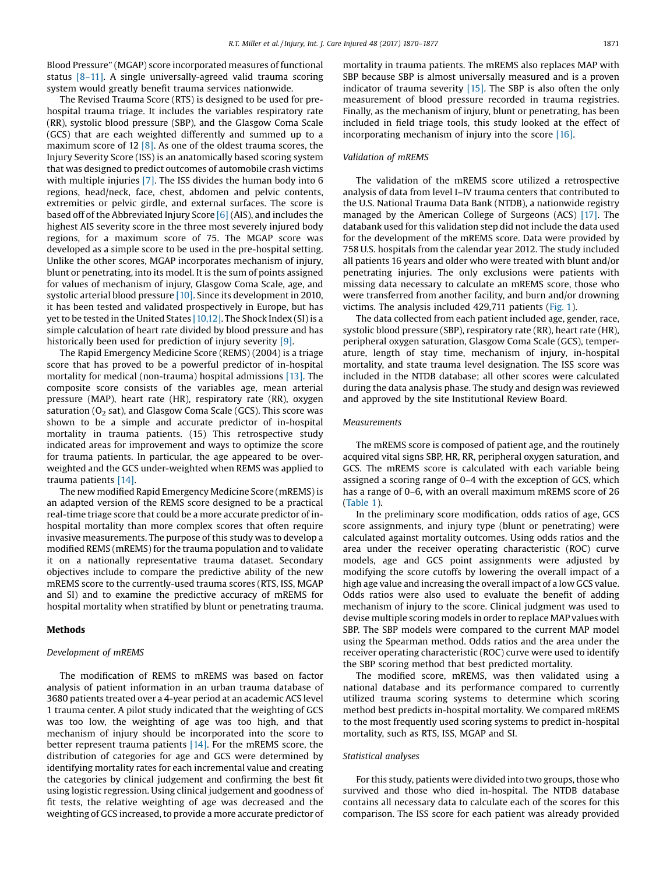Blood Pressure" (MGAP) score incorporated measures of functional status [8–[11\].](#page-7-0) A single universally-agreed valid trauma scoring system would greatly benefit trauma services nationwide.

The Revised Trauma Score (RTS) is designed to be used for prehospital trauma triage. It includes the variables respiratory rate (RR), systolic blood pressure (SBP), and the Glasgow Coma Scale (GCS) that are each weighted differently and summed up to a maximum score of  $12 \, [8]$  $12 \, [8]$ . As one of the oldest trauma scores, the Injury Severity Score (ISS) is an anatomically based scoring system that was designed to predict outcomes of automobile crash victims with multiple injuries [\[7\]](#page-7-0). The ISS divides the human body into 6 regions, head/neck, face, chest, abdomen and pelvic contents, extremities or pelvic girdle, and external surfaces. The score is based off of the Abbreviated Injury Score [\[6\]](#page-7-0) (AIS), and includes the highest AIS severity score in the three most severely injured body regions, for a maximum score of 75. The MGAP score was developed as a simple score to be used in the pre-hospital setting. Unlike the other scores, MGAP incorporates mechanism of injury, blunt or penetrating, into its model. It is the sum of points assigned for values of mechanism of injury, Glasgow Coma Scale, age, and systolic arterial blood pressure [\[10\]](#page-7-0). Since its development in 2010, it has been tested and validated prospectively in Europe, but has yet to be tested in the United States [\[10,12\].](#page-7-0) The Shock Index (SI) is a simple calculation of heart rate divided by blood pressure and has historically been used for prediction of injury severity [\[9\]](#page-7-0).

The Rapid Emergency Medicine Score (REMS) (2004) is a triage score that has proved to be a powerful predictor of in-hospital mortality for medical (non-trauma) hospital admissions [\[13\]](#page-7-0). The composite score consists of the variables age, mean arterial pressure (MAP), heart rate (HR), respiratory rate (RR), oxygen saturation  $(O_2 \text{ sat})$ , and Glasgow Coma Scale (GCS). This score was shown to be a simple and accurate predictor of in-hospital mortality in trauma patients. (15) This retrospective study indicated areas for improvement and ways to optimize the score for trauma patients. In particular, the age appeared to be overweighted and the GCS under-weighted when REMS was applied to trauma patients [\[14\]](#page-7-0).

The new modified Rapid Emergency Medicine Score (mREMS) is an adapted version of the REMS score designed to be a practical real-time triage score that could be a more accurate predictor of inhospital mortality than more complex scores that often require invasive measurements. The purpose of this study was to develop a modified REMS (mREMS) for the trauma population and to validate it on a nationally representative trauma dataset. Secondary objectives include to compare the predictive ability of the new mREMS score to the currently-used trauma scores (RTS, ISS, MGAP and SI) and to examine the predictive accuracy of mREMS for hospital mortality when stratified by blunt or penetrating trauma.

#### Methods

#### Development of mREMS

The modification of REMS to mREMS was based on factor analysis of patient information in an urban trauma database of 3680 patients treated over a 4-year period at an academic ACS level 1 trauma center. A pilot study indicated that the weighting of GCS was too low, the weighting of age was too high, and that mechanism of injury should be incorporated into the score to better represent trauma patients [\[14\].](#page-7-0) For the mREMS score, the distribution of categories for age and GCS were determined by identifying mortality rates for each incremental value and creating the categories by clinical judgement and confirming the best fit using logistic regression. Using clinical judgement and goodness of fit tests, the relative weighting of age was decreased and the weighting of GCS increased, to provide a more accurate predictor of mortality in trauma patients. The mREMS also replaces MAP with SBP because SBP is almost universally measured and is a proven indicator of trauma severity  $[15]$ . The SBP is also often the only measurement of blood pressure recorded in trauma registries. Finally, as the mechanism of injury, blunt or penetrating, has been included in field triage tools, this study looked at the effect of incorporating mechanism of injury into the score [\[16\]](#page-7-0).

#### Validation of mREMS

The validation of the mREMS score utilized a retrospective analysis of data from level I–IV trauma centers that contributed to the U.S. National Trauma Data Bank (NTDB), a nationwide registry managed by the American College of Surgeons (ACS) [\[17\]](#page-7-0). The databank used for this validation step did not include the data used for the development of the mREMS score. Data were provided by 758 U.S. hospitals from the calendar year 2012. The study included all patients 16 years and older who were treated with blunt and/or penetrating injuries. The only exclusions were patients with missing data necessary to calculate an mREMS score, those who were transferred from another facility, and burn and/or drowning victims. The analysis included 429,711 patients [\(Fig.](#page-2-0) 1).

The data collected from each patient included age, gender, race, systolic blood pressure (SBP), respiratory rate (RR), heart rate (HR), peripheral oxygen saturation, Glasgow Coma Scale (GCS), temperature, length of stay time, mechanism of injury, in-hospital mortality, and state trauma level designation. The ISS score was included in the NTDB database; all other scores were calculated during the data analysis phase. The study and design was reviewed and approved by the site Institutional Review Board.

#### Measurements

The mREMS score is composed of patient age, and the routinely acquired vital signs SBP, HR, RR, peripheral oxygen saturation, and GCS. The mREMS score is calculated with each variable being assigned a scoring range of 0–4 with the exception of GCS, which has a range of 0–6, with an overall maximum mREMS score of 26 ([Table](#page-2-0) 1).

In the preliminary score modification, odds ratios of age, GCS score assignments, and injury type (blunt or penetrating) were calculated against mortality outcomes. Using odds ratios and the area under the receiver operating characteristic (ROC) curve models, age and GCS point assignments were adjusted by modifying the score cutoffs by lowering the overall impact of a high age value and increasing the overall impact of a low GCS value. Odds ratios were also used to evaluate the benefit of adding mechanism of injury to the score. Clinical judgment was used to devise multiple scoring models in order to replace MAP values with SBP. The SBP models were compared to the current MAP model using the Spearman method. Odds ratios and the area under the receiver operating characteristic (ROC) curve were used to identify the SBP scoring method that best predicted mortality.

The modified score, mREMS, was then validated using a national database and its performance compared to currently utilized trauma scoring systems to determine which scoring method best predicts in-hospital mortality. We compared mREMS to the most frequently used scoring systems to predict in-hospital mortality, such as RTS, ISS, MGAP and SI.

#### Statistical analyses

For this study, patients were divided into two groups, those who survived and those who died in-hospital. The NTDB database contains all necessary data to calculate each of the scores for this comparison. The ISS score for each patient was already provided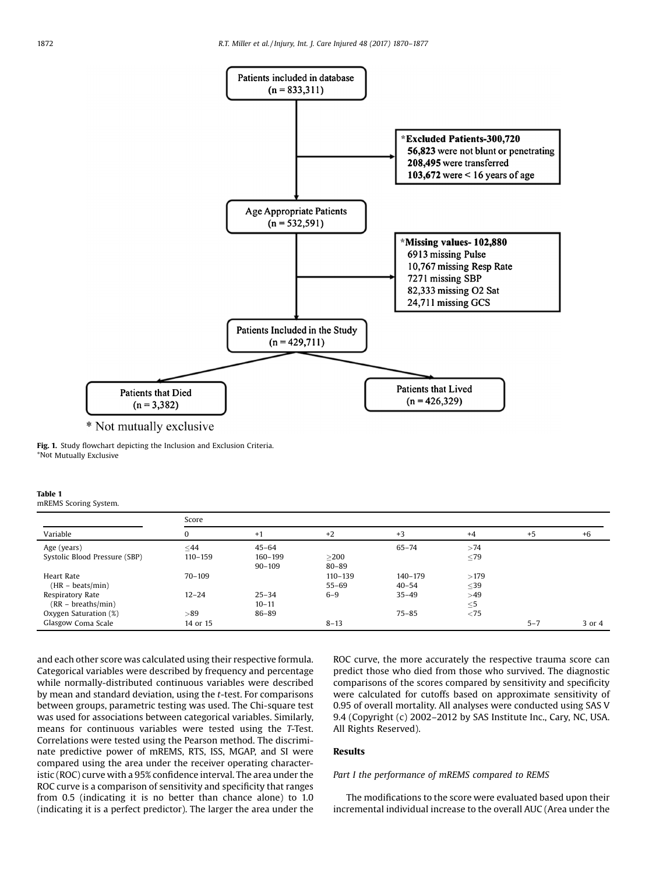<span id="page-2-0"></span>

Fig. 1. Study flowchart depicting the Inclusion and Exclusion Criteria. \*Not Mutually Exclusive

| $\sim$<br>. . |  |
|---------------|--|
|---------------|--|

mREMS Scoring System.

|                               | Score      |            |             |             |           |         |        |
|-------------------------------|------------|------------|-------------|-------------|-----------|---------|--------|
| Variable                      |            | $+1$       | $+2$        | $+3$        | $+4$      | $+5$    | +6     |
| Age (years)                   | $\leq$ 44  | $45 - 64$  |             | $65 - 74$   | >74       |         |        |
| Systolic Blood Pressure (SBP) | 110-159    | 160-199    | >200        |             | $\leq$ 79 |         |        |
|                               |            | $90 - 109$ | $80 - 89$   |             |           |         |        |
| Heart Rate                    | $70 - 109$ |            | $110 - 139$ | $140 - 179$ | >179      |         |        |
| $(HR - beats/min)$            |            |            | $55 - 69$   | $40 - 54$   | $\leq$ 39 |         |        |
| Respiratory Rate              | $12 - 24$  | $25 - 34$  | $6 - 9$     | $35 - 49$   | >49       |         |        |
| (RR – breaths/min)            |            | $10 - 11$  |             |             | $\leq$ 5  |         |        |
| Oxygen Saturation (%)         | >89        | 86-89      |             | $75 - 85$   | ${<}75$   |         |        |
| Glasgow Coma Scale            | 14 or 15   |            | $8 - 13$    |             |           | $5 - 7$ | 3 or 4 |

and each other score was calculated using their respective formula. Categorical variables were described by frequency and percentage while normally-distributed continuous variables were described by mean and standard deviation, using the t-test. For comparisons between groups, parametric testing was used. The Chi-square test was used for associations between categorical variables. Similarly, means for continuous variables were tested using the T-Test. Correlations were tested using the Pearson method. The discriminate predictive power of mREMS, RTS, ISS, MGAP, and SI were compared using the area under the receiver operating characteristic (ROC) curve with a 95% confidence interval. The area under the ROC curve is a comparison of sensitivity and specificity that ranges from 0.5 (indicating it is no better than chance alone) to 1.0 (indicating it is a perfect predictor). The larger the area under the ROC curve, the more accurately the respective trauma score can predict those who died from those who survived. The diagnostic comparisons of the scores compared by sensitivity and specificity were calculated for cutoffs based on approximate sensitivity of 0.95 of overall mortality. All analyses were conducted using SAS V 9.4 (Copyright (c) 2002–2012 by SAS Institute Inc., Cary, NC, USA. All Rights Reserved).

## Results

## Part I the performance of mREMS compared to REMS

The modifications to the score were evaluated based upon their incremental individual increase to the overall AUC (Area under the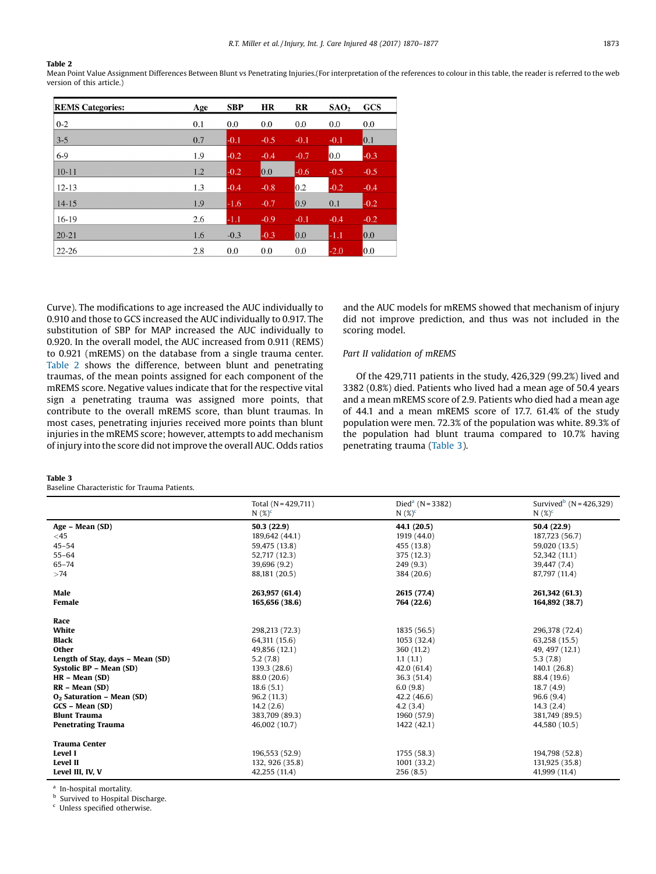#### <span id="page-3-0"></span>Table 2

Mean Point Value Assignment Differences Between Blunt vs Penetrating Injuries.(For interpretation of the references to colour in this table, the reader is referred to the web version of this article.)

| <b>REMS</b> Categories: | Age | <b>SBP</b> | <b>HR</b> | $\mathbf{R}$ | SAO <sub>2</sub> | <b>GCS</b>       |
|-------------------------|-----|------------|-----------|--------------|------------------|------------------|
| $0 - 2$                 | 0.1 | 0.0        | 0.0       | 0.0          | 0.0              | 0.0              |
| $3 - 5$                 | 0.7 | $-0.1$     | $-0.5$    | $-0.1$       | $-0.1$           | $\overline{0.1}$ |
| $6-9$                   | 1.9 | $-0.2$     | $-0.4$    | $-0.7$       | 0.0              | $-0.3$           |
| $10 - 11$               | 1.2 | $-0.2$     | 0.0       | $-0.6$       | $-0.5$           | $-0.5$           |
| $12 - 13$               | 1.3 | $-0.4$     | $-0.8$    | 0.2          | $-0.2$           | $-0.4$           |
| $14 - 15$               | 1.9 | $-1.6$     | $-0.7$    | 0.9          | 0.1              | $-0.2$           |
| 16-19                   | 2.6 | $-1.1$     | $-0.9$    | $-0.1$       | $-0.4$           | $-0.2$           |
| $20 - 21$               | 1.6 | $-0.3$     | $-0.3$    | 0.0          | $-1.1$           | 0.0              |
| $22 - 26$               | 2.8 | 0.0        | 0.0       | 0.0          | $-2.0$           | 0.0              |

Curve). The modifications to age increased the AUC individually to 0.910 and those to GCS increased the AUC individually to 0.917. The substitution of SBP for MAP increased the AUC individually to 0.920. In the overall model, the AUC increased from 0.911 (REMS) to 0.921 (mREMS) on the database from a single trauma center. Table 2 shows the difference, between blunt and penetrating traumas, of the mean points assigned for each component of the mREMS score. Negative values indicate that for the respective vital sign a penetrating trauma was assigned more points, that contribute to the overall mREMS score, than blunt traumas. In most cases, penetrating injuries received more points than blunt injuries in the mREMS score; however, attempts to add mechanism of injury into the score did notimprove the overall AUC. Odds ratios

#### Table 3

Baseline Characteristic for Trauma Patients.

and the AUC models for mREMS showed that mechanism of injury did not improve prediction, and thus was not included in the scoring model.

## Part II validation of mREMS

Of the 429,711 patients in the study, 426,329 (99.2%) lived and 3382 (0.8%) died. Patients who lived had a mean age of 50.4 years and a mean mREMS score of 2.9. Patients who died had a mean age of 44.1 and a mean mREMS score of 17.7. 61.4% of the study population were men. 72.3% of the population was white. 89.3% of the population had blunt trauma compared to 10.7% having penetrating trauma (Table 3).

|                                  | Total $(N = 429, 711)$ | Died <sup>a</sup> (N = 3382) | Survived <sup>b</sup> (N = 426,329) |
|----------------------------------|------------------------|------------------------------|-------------------------------------|
|                                  | $N(%)^c$               | $N(%)^c$                     | $N(%)^c$                            |
| Age – Mean (SD)                  | 50.3(22.9)             | 44.1 (20.5)                  | 50.4 (22.9)                         |
| $<$ 45                           | 189,642 (44.1)         | 1919 (44.0)                  | 187,723 (56.7)                      |
| $45 - 54$                        | 59,475 (13.8)          | 455 (13.8)                   | 59,020 (13.5)                       |
| $55 - 64$                        | 52,717 (12.3)          | 375 (12.3)                   | 52,342 (11.1)                       |
| $65 - 74$                        | 39,696 (9.2)           | 249(9.3)                     | 39,447 (7.4)                        |
| >74                              | 88,181 (20.5)          | 384 (20.6)                   | 87,797 (11.4)                       |
| Male                             | 263,957 (61.4)         | 2615 (77.4)                  | 261,342 (61.3)                      |
| Female                           | 165,656 (38.6)         | 764 (22.6)                   | 164,892 (38.7)                      |
| Race                             |                        |                              |                                     |
| White                            | 298,213 (72.3)         | 1835 (56.5)                  | 296,378 (72.4)                      |
| Black                            | 64,311 (15.6)          | 1053 (32.4)                  | 63,258 (15.5)                       |
| <b>Other</b>                     | 49,856 (12.1)          | 360 (11.2)                   | 49, 497 (12.1)                      |
| Length of Stay, days - Mean (SD) | 5.2(7.8)               | 1.1(1.1)                     | 5.3(7.8)                            |
| Systolic BP - Mean (SD)          | 139.3 (28.6)           | 42.0(61.4)                   | 140.1 (26.8)                        |
| $HR - Mean (SD)$                 | 88.0 (20.6)            | 36.3(51.4)                   | 88.4 (19.6)                         |
| $RR - Mean (SD)$                 | 18.6(5.1)              | 6.0(9.8)                     | 18.7(4.9)                           |
| $O2$ Saturation – Mean (SD)      | 96.2(11.3)             | 42.2(46.6)                   | 96.6(9.4)                           |
| GCS – Mean (SD)                  | 14.2(2.6)              | 4.2(3.4)                     | 14.3(2.4)                           |
| <b>Blunt Trauma</b>              | 383,709 (89.3)         | 1960 (57.9)                  | 381,749 (89.5)                      |
| <b>Penetrating Trauma</b>        | 46,002 (10.7)          | 1422 (42.1)                  | 44,580 (10.5)                       |
| <b>Trauma Center</b>             |                        |                              |                                     |
| Level I                          | 196,553 (52.9)         | 1755 (58.3)                  | 194,798 (52.8)                      |
| Level II                         | 132, 926 (35.8)        | 1001 (33.2)                  | 131,925 (35.8)                      |
| Level III, IV, V                 | 42,255 (11.4)          | 256(8.5)                     | 41,999 (11.4)                       |

<sup>a</sup> In-hospital mortality.

Survived to Hospital Discharge.

<sup>c</sup> Unless specified otherwise.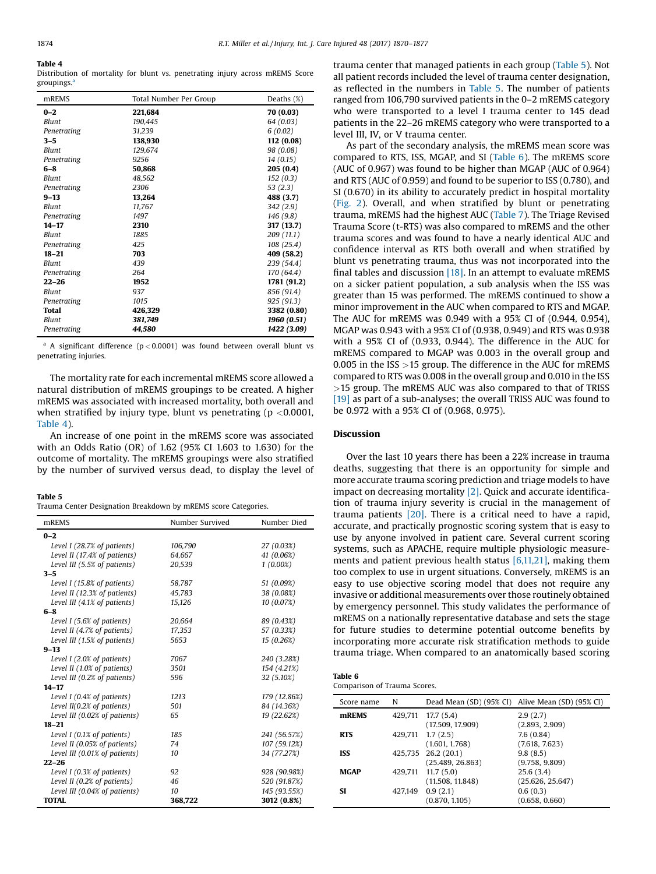#### <span id="page-4-0"></span>Table 4

Distribution of mortality for blunt vs. penetrating injury across mREMS Score groupings.<sup>a</sup>

| <b>mREMS</b> | Total Number Per Group | Deaths $(\%)$ |
|--------------|------------------------|---------------|
| $0 - 2$      | 221,684                | 70 (0.03)     |
| Blunt        | 190,445                | 64 (0.03)     |
| Penetrating  | 31.239                 | 6(0.02)       |
| $3 - 5$      | 138,930                | 112 (0.08)    |
| <b>Blunt</b> | 129.674                | 98 (0.08)     |
| Penetrating  | 9256                   | 14(0.15)      |
| $6-8$        | 50,868                 | 205(0.4)      |
| <b>Blunt</b> | 48,562                 | 152(0.3)      |
| Penetrating  | 2306                   | 53(2.3)       |
| $9 - 13$     | 13,264                 | 488 (3.7)     |
| <b>Blunt</b> | 11,767                 | 342 (2.9)     |
| Penetrating  | 1497                   | 146(9.8)      |
| $14 - 17$    | 2310                   | 317 (13.7)    |
| Blunt        | 1885                   | 209 (11.1)    |
| Penetrating  | 425                    | 108(25.4)     |
| $18 - 21$    | 703                    | 409 (58.2)    |
| <b>Blunt</b> | 439                    | 239 (54.4)    |
| Penetrating  | 264                    | 170 (64.4)    |
| $22 - 26$    | 1952                   | 1781 (91.2)   |
| <b>Blunt</b> | 937                    | 856 (91.4)    |
| Penetrating  | 1015                   | 925 (91.3)    |
| <b>Total</b> | 426,329                | 3382 (0.80)   |
| <b>Blunt</b> | 381,749                | 1960 (0.51)   |
| Penetrating  | 44,580                 | 1422 (3.09)   |

<sup>a</sup> A significant difference ( $p < 0.0001$ ) was found between overall blunt vs penetrating injuries.

The mortality rate for each incremental mREMS score allowed a natural distribution of mREMS groupings to be created. A higher mREMS was associated with increased mortality, both overall and when stratified by injury type, blunt vs penetrating ( $p < 0.0001$ , Table 4).

An increase of one point in the mREMS score was associated with an Odds Ratio (OR) of 1.62 (95% CI 1.603 to 1.630) for the outcome of mortality. The mREMS groupings were also stratified by the number of survived versus dead, to display the level of

#### Table 5

Trauma Center Designation Breakdown by mREMS score Categories.

| <b>mREMS</b>                    | Number Survived | Number Died  |
|---------------------------------|-----------------|--------------|
| $0 - 2$                         |                 |              |
| Level I (28.7% of patients)     | 106,790         | 27 (0.03%)   |
| Level II (17.4% of patients)    | 64,667          | 41 (0.06%)   |
| Level III (5.5% of patients)    | 20,539          | $1(0.00\%)$  |
| $3 - 5$                         |                 |              |
| Level I $(15.8\%$ of patients)  | 58.787          | 51 (0.09%)   |
| Level II (12.3% of patients)    | 45.783          | 38 (0.08%)   |
| Level III (4.1% of patients)    | 15,126          | 10 (0.07%)   |
| $6-8$                           |                 |              |
| Level I $(5.6%$ of patients)    | 20,664          | 89 (0.43%)   |
| Level II (4.7% of patients)     | 17.353          | 57 (0.33%)   |
| Level III (1.5% of patients)    | 5653            | 15 (0.26%)   |
| $9 - 13$                        |                 |              |
| Level I $(2.0\%$ of patients)   | 7067            | 240 (3.28%)  |
| Level II (1.0% of patients)     | 3501            | 154 (4.21%)  |
| Level III (0.2% of patients)    | 596             | 32 (5.10%)   |
| $14 - 17$                       |                 |              |
| Level I $(0.4\%$ of patients)   | 1213            | 179 (12.86%) |
| Level II(0.2% of patients)      | 501             | 84 (14.36%)  |
| Level III (0.02% of patients)   | 65              | 19 (22.62%)  |
| $18 - 21$                       |                 |              |
| Level $I(0.1\%)$ of patients)   | 185             | 241 (56.57%) |
| Level II $(0.05\%$ of patients) | 74              | 107 (59.12%) |
| Level III (0.01% of patients)   | 10              | 34 (77.27%)  |
| $22 - 26$                       |                 |              |
| Level I $(0.3%$ of patients)    | 92              | 928 (90.98%) |
| Level II (0.2% of patients)     | 46              | 520 (91.87%) |
| Level III (0.04% of patients)   | 10              | 145 (93.55%) |
| <b>TOTAL</b>                    | 368,722         | 3012 (0.8%)  |

trauma center that managed patients in each group (Table 5). Not all patient records included the level of trauma center designation, as reflected in the numbers in Table 5. The number of patients ranged from 106,790 survived patients in the 0–2 mREMS category who were transported to a level I trauma center to 145 dead patients in the 22–26 mREMS category who were transported to a level III, IV, or V trauma center.

As part of the secondary analysis, the mREMS mean score was compared to RTS, ISS, MGAP, and SI (Table 6). The mREMS score (AUC of 0.967) was found to be higher than MGAP (AUC of 0.964) and RTS (AUC of 0.959) and found to be superior to ISS (0.780), and SI (0.670) in its ability to accurately predict in hospital mortality ([Fig.](#page-5-0) 2). Overall, and when stratified by blunt or penetrating trauma, mREMS had the highest AUC [\(Table](#page-5-0) 7). The Triage Revised Trauma Score (t-RTS) was also compared to mREMS and the other trauma scores and was found to have a nearly identical AUC and confidence interval as RTS both overall and when stratified by blunt vs penetrating trauma, thus was not incorporated into the final tables and discussion  $[18]$ . In an attempt to evaluate mREMS on a sicker patient population, a sub analysis when the ISS was greater than 15 was performed. The mREMS continued to show a minor improvement in the AUC when compared to RTS and MGAP. The AUC for mREMS was 0.949 with a 95% CI of (0.944, 0.954), MGAP was 0.943 with a 95% CI of (0.938, 0.949) and RTS was 0.938 with a 95% CI of (0.933, 0.944). The difference in the AUC for mREMS compared to MGAP was 0.003 in the overall group and 0.005 in the ISS >15 group. The difference in the AUC for mREMS compared to RTS was 0.008 in the overall group and 0.010 in the ISS >15 group. The mREMS AUC was also compared to that of TRISS [\[19\]](#page-7-0) as part of a sub-analyses; the overall TRISS AUC was found to be 0.972 with a 95% CI of (0.968, 0.975).

## Discussion

Over the last 10 years there has been a 22% increase in trauma deaths, suggesting that there is an opportunity for simple and more accurate trauma scoring prediction and triage models to have impact on decreasing mortality [\[2\]](#page-7-0). Quick and accurate identification of trauma injury severity is crucial in the management of trauma patients [\[20\]](#page-7-0). There is a critical need to have a rapid, accurate, and practically prognostic scoring system that is easy to use by anyone involved in patient care. Several current scoring systems, such as APACHE, require multiple physiologic measurements and patient previous health status  $[6,11,21]$ , making them too complex to use in urgent situations. Conversely, mREMS is an easy to use objective scoring model that does not require any invasive or additional measurements over those routinely obtained by emergency personnel. This study validates the performance of mREMS on a nationally representative database and sets the stage for future studies to determine potential outcome benefits by incorporating more accurate risk stratification methods to guide trauma triage. When compared to an anatomically based scoring

| Table 6                      |  |
|------------------------------|--|
| Comparison of Trauma Scores. |  |

| Score name   | N       |                    | Dead Mean (SD) (95% CI) Alive Mean (SD) (95% CI) |
|--------------|---------|--------------------|--------------------------------------------------|
| <b>mREMS</b> |         | 429,711 17.7 (5.4) | 2.9(2.7)                                         |
|              |         | (17.509, 17.909)   | (2.893, 2.909)                                   |
| <b>RTS</b>   | 429,711 | 1.7(2.5)           | 7.6(0.84)                                        |
|              |         | (1.601, 1.768)     | (7.618, 7.623)                                   |
| <b>ISS</b>   | 425,735 | 26.2(20.1)         | 9.8(8.5)                                         |
|              |         | (25.489, 26.863)   | (9.758, 9.809)                                   |
| <b>MGAP</b>  | 429,711 | 11.7(5.0)          | 25.6(3.4)                                        |
|              |         | (11.508, 11.848)   | (25.626, 25.647)                                 |
| SI.          | 427.149 | 0.9(2.1)           | 0.6(0.3)                                         |
|              |         | (0.870, 1.105)     | (0.658, 0.660)                                   |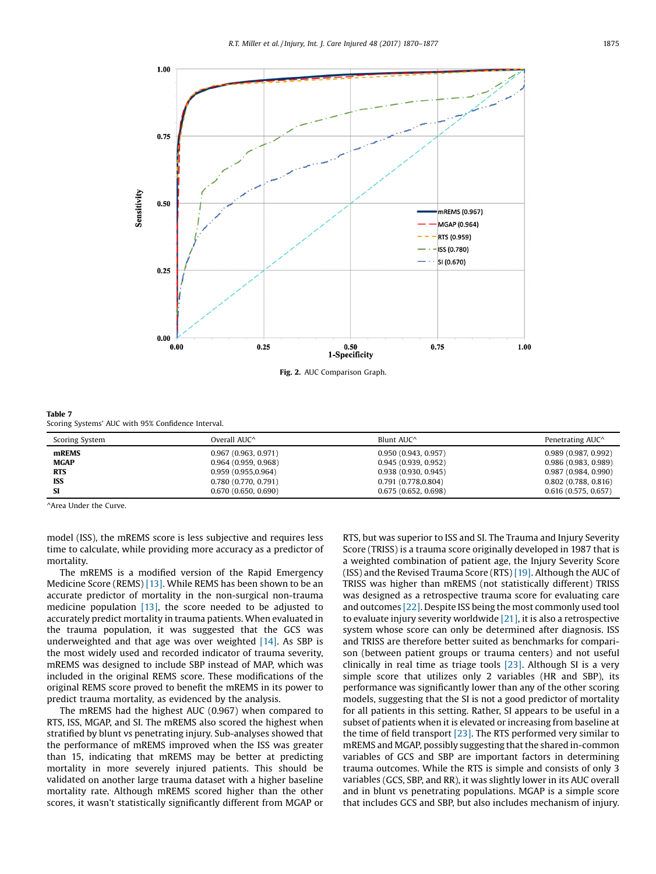<span id="page-5-0"></span>

| Table 7                                            |  |  |
|----------------------------------------------------|--|--|
| Scoring Systems' AUC with 95% Confidence Interval. |  |  |

| Scoring System | Overall AUC <sup><math>\land</math></sup> | Blunt AUC <sup>^</sup> | Penetrating AUC <sup><math>\land</math></sup> |
|----------------|-------------------------------------------|------------------------|-----------------------------------------------|
| mREMS          | 0.967(0.963, 0.971)                       | 0.950(0.943, 0.957)    | 0.989(0.987, 0.992)                           |
| <b>MGAP</b>    | 0.964(0.959, 0.968)                       | 0.945(0.939, 0.952)    | 0.986(0.983, 0.989)                           |
| <b>RTS</b>     | 0.959(0.955, 0.964)                       | 0.938(0.930, 0.945)    | 0.987(0.984, 0.990)                           |
| <b>ISS</b>     | 0.780(0.770, 0.791)                       | 0.791(0.778, 0.804)    | 0.802(0.788, 0.816)                           |
| <b>SI</b>      | 0.670(0.650, 0.690)                       | 0.675(0.652, 0.698)    | 0.616(0.575, 0.657)                           |

^Area Under the Curve.

model (ISS), the mREMS score is less subjective and requires less time to calculate, while providing more accuracy as a predictor of mortality.

The mREMS is a modified version of the Rapid Emergency Medicine Score (REMS) [\[13\].](#page-7-0) While REMS has been shown to be an accurate predictor of mortality in the non-surgical non-trauma medicine population [\[13\]](#page-7-0), the score needed to be adjusted to accurately predict mortality in trauma patients. When evaluated in the trauma population, it was suggested that the GCS was underweighted and that age was over weighted [\[14\]](#page-7-0). As SBP is the most widely used and recorded indicator of trauma severity, mREMS was designed to include SBP instead of MAP, which was included in the original REMS score. These modifications of the original REMS score proved to benefit the mREMS in its power to predict trauma mortality, as evidenced by the analysis.

The mREMS had the highest AUC (0.967) when compared to RTS, ISS, MGAP, and SI. The mREMS also scored the highest when stratified by blunt vs penetrating injury. Sub-analyses showed that the performance of mREMS improved when the ISS was greater than 15, indicating that mREMS may be better at predicting mortality in more severely injured patients. This should be validated on another large trauma dataset with a higher baseline mortality rate. Although mREMS scored higher than the other scores, it wasn't statistically significantly different from MGAP or RTS, but was superior to ISS and SI. The Trauma and Injury Severity Score (TRISS) is a trauma score originally developed in 1987 that is a weighted combination of patient age, the Injury Severity Score (ISS) and the Revised Trauma Score (RTS) [\[19\]](#page-7-0). Although the AUC of TRISS was higher than mREMS (not statistically different) TRISS was designed as a retrospective trauma score for evaluating care and outcomes [\[22\].](#page-7-0) Despite ISS being the most commonly used tool to evaluate injury severity worldwide [\[21\]](#page-7-0), it is also a retrospective system whose score can only be determined after diagnosis. ISS and TRISS are therefore better suited as benchmarks for comparison (between patient groups or trauma centers) and not useful clinically in real time as triage tools [\[23\]](#page-7-0). Although SI is a very simple score that utilizes only 2 variables (HR and SBP), its performance was significantly lower than any of the other scoring models, suggesting that the SI is not a good predictor of mortality for all patients in this setting. Rather, SI appears to be useful in a subset of patients when it is elevated or increasing from baseline at the time of field transport [\[23\]](#page-7-0). The RTS performed very similar to mREMS and MGAP, possibly suggesting that the shared in-common variables of GCS and SBP are important factors in determining trauma outcomes. While the RTS is simple and consists of only 3 variables (GCS, SBP, and RR), it was slightly lower in its AUC overall and in blunt vs penetrating populations. MGAP is a simple score that includes GCS and SBP, but also includes mechanism of injury.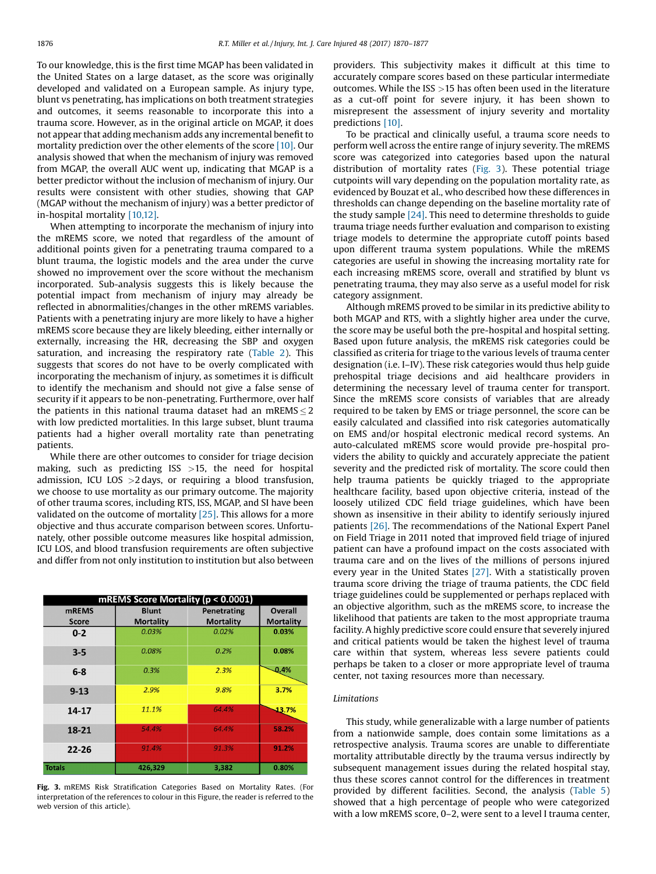To our knowledge, this is the first time MGAP has been validated in the United States on a large dataset, as the score was originally developed and validated on a European sample. As injury type, blunt vs penetrating, has implications on both treatment strategies and outcomes, it seems reasonable to incorporate this into a trauma score. However, as in the original article on MGAP, it does not appear that adding mechanism adds any incremental benefit to mortality prediction over the other elements of the score [\[10\]](#page-7-0). Our analysis showed that when the mechanism of injury was removed from MGAP, the overall AUC went up, indicating that MGAP is a better predictor without the inclusion of mechanism of injury. Our results were consistent with other studies, showing that GAP (MGAP without the mechanism of injury) was a better predictor of in-hospital mortality [\[10,12\]](#page-7-0).

When attempting to incorporate the mechanism of injury into the mREMS score, we noted that regardless of the amount of additional points given for a penetrating trauma compared to a blunt trauma, the logistic models and the area under the curve showed no improvement over the score without the mechanism incorporated. Sub-analysis suggests this is likely because the potential impact from mechanism of injury may already be reflected in abnormalities/changes in the other mREMS variables. Patients with a penetrating injury are more likely to have a higher mREMS score because they are likely bleeding, either internally or externally, increasing the HR, decreasing the SBP and oxygen saturation, and increasing the respiratory rate [\(Table](#page-3-0) 2). This suggests that scores do not have to be overly complicated with incorporating the mechanism of injury, as sometimes it is difficult to identify the mechanism and should not give a false sense of security if it appears to be non-penetrating. Furthermore, over half the patients in this national trauma dataset had an  $mREMS < 2$ with low predicted mortalities. In this large subset, blunt trauma patients had a higher overall mortality rate than penetrating patients.

While there are other outcomes to consider for triage decision making, such as predicting ISS  $>15$ , the need for hospital admission, ICU LOS >2 days, or requiring a blood transfusion, we choose to use mortality as our primary outcome. The majority of other trauma scores, including RTS, ISS, MGAP, and SI have been validated on the outcome of mortality  $[25]$ . This allows for a more objective and thus accurate comparison between scores. Unfortunately, other possible outcome measures like hospital admission, ICU LOS, and blood transfusion requirements are often subjective and differ from not only institution to institution but also between

|               | mREMS Score Mortality (p < 0.0001) |                  |                  |  |  |
|---------------|------------------------------------|------------------|------------------|--|--|
| <b>mREMS</b>  | <b>Blunt</b>                       | Penetrating      | <b>Overall</b>   |  |  |
| <b>Score</b>  | <b>Mortality</b>                   | <b>Mortality</b> | <b>Mortality</b> |  |  |
| $0 - 2$       | 0.03%                              | 0.02%            | 0.03%            |  |  |
| $3 - 5$       | 0.08%                              | 0.2%             | 0.08%            |  |  |
| $6-8$         | 0.3%                               | 2.3%             | 0.4%             |  |  |
| $9 - 13$      | 2.9%                               | 9.8%             | 3.7%             |  |  |
| 14-17         | 11.1%                              | 64.4%            | 13.7%            |  |  |
| 18-21         | 54.4%                              | 64.4%            | 58.2%            |  |  |
| $22 - 26$     | 91.4%                              | 91.3%            | 91.2%            |  |  |
| <b>Totals</b> | 426,329                            | 3,382            | 0.80%            |  |  |

Fig. 3. mREMS Risk Stratification Categories Based on Mortality Rates. (For interpretation of the references to colour in this Figure, the reader is referred to the web version of this article).

providers. This subjectivity makes it difficult at this time to accurately compare scores based on these particular intermediate outcomes. While the  $ISS > 15$  has often been used in the literature as a cut-off point for severe injury, it has been shown to misrepresent the assessment of injury severity and mortality predictions [\[10\].](#page-7-0)

To be practical and clinically useful, a trauma score needs to perform well across the entire range of injury severity. The mREMS score was categorized into categories based upon the natural distribution of mortality rates (Fig. 3). These potential triage cutpoints will vary depending on the population mortality rate, as evidenced by Bouzat et al., who described how these differences in thresholds can change depending on the baseline mortality rate of the study sample [\[24\].](#page-7-0) This need to determine thresholds to guide trauma triage needs further evaluation and comparison to existing triage models to determine the appropriate cutoff points based upon different trauma system populations. While the mREMS categories are useful in showing the increasing mortality rate for each increasing mREMS score, overall and stratified by blunt vs penetrating trauma, they may also serve as a useful model for risk category assignment.

Although mREMS proved to be similar in its predictive ability to both MGAP and RTS, with a slightly higher area under the curve, the score may be useful both the pre-hospital and hospital setting. Based upon future analysis, the mREMS risk categories could be classified as criteria for triage to the various levels of trauma center designation (i.e. I–IV). These risk categories would thus help guide prehospital triage decisions and aid healthcare providers in determining the necessary level of trauma center for transport. Since the mREMS score consists of variables that are already required to be taken by EMS or triage personnel, the score can be easily calculated and classified into risk categories automatically on EMS and/or hospital electronic medical record systems. An auto-calculated mREMS score would provide pre-hospital providers the ability to quickly and accurately appreciate the patient severity and the predicted risk of mortality. The score could then help trauma patients be quickly triaged to the appropriate healthcare facility, based upon objective criteria, instead of the loosely utilized CDC field triage guidelines, which have been shown as insensitive in their ability to identify seriously injured patients [\[26\]](#page-7-0). The recommendations of the National Expert Panel on Field Triage in 2011 noted that improved field triage of injured patient can have a profound impact on the costs associated with trauma care and on the lives of the millions of persons injured every year in the United States [\[27\]](#page-7-0). With a statistically proven trauma score driving the triage of trauma patients, the CDC field triage guidelines could be supplemented or perhaps replaced with an objective algorithm, such as the mREMS score, to increase the likelihood that patients are taken to the most appropriate trauma facility. A highly predictive score could ensure that severely injured and critical patients would be taken the highest level of trauma care within that system, whereas less severe patients could perhaps be taken to a closer or more appropriate level of trauma center, not taxing resources more than necessary.

## Limitations

This study, while generalizable with a large number of patients from a nationwide sample, does contain some limitations as a retrospective analysis. Trauma scores are unable to differentiate mortality attributable directly by the trauma versus indirectly by subsequent management issues during the related hospital stay, thus these scores cannot control for the differences in treatment provided by different facilities. Second, the analysis ([Table](#page-4-0) 5) showed that a high percentage of people who were categorized with a low mREMS score, 0–2, were sent to a level I trauma center,